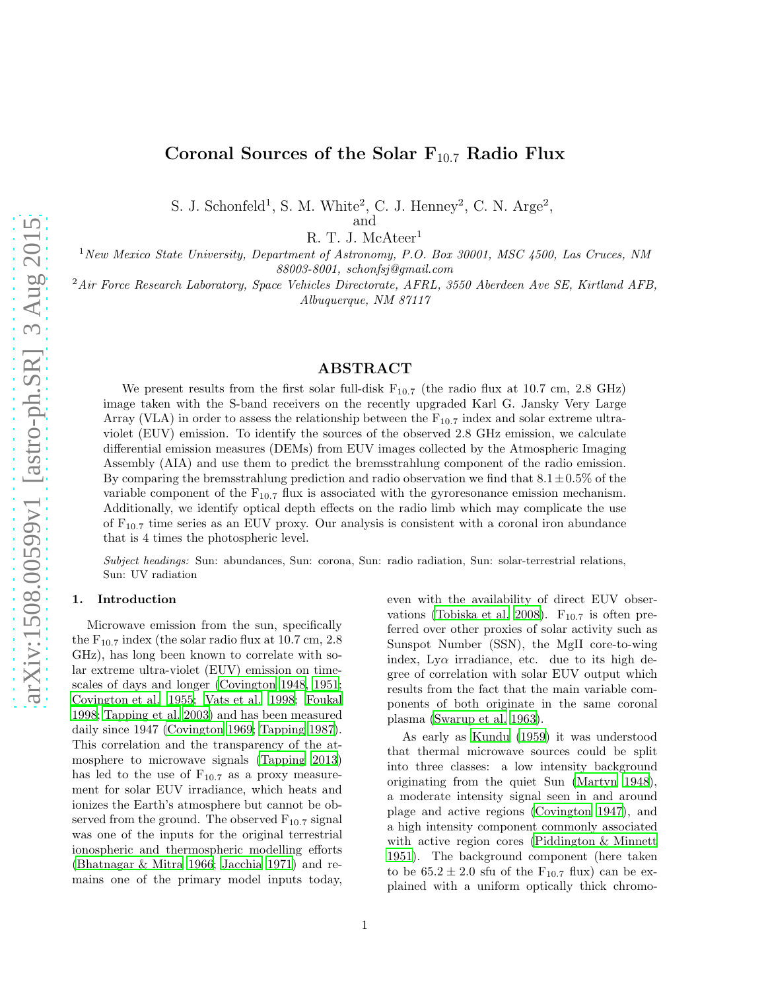# Coronal Sources of the Solar  $F_{10.7}$  Radio Flux

S. J. Schonfeld<sup>1</sup>, S. M. White<sup>2</sup>, C. J. Henney<sup>2</sup>, C. N. Arge<sup>2</sup>, and

R. T. J. McAteer<sup>1</sup>

<sup>1</sup>*New Mexico State University, Department of Astronomy, P.O. Box 30001, MSC 4500, Las Cruces, NM 88003-8001, schonfsj@gmail.com*

<sup>2</sup>*Air Force Research Laboratory, Space Vehicles Directorate, AFRL, 3550 Aberdeen Ave SE, Kirtland AFB, Albuquerque, NM 87117*

# ABSTRACT

We present results from the first solar full-disk  $F_{10.7}$  (the radio flux at 10.7 cm, 2.8 GHz) image taken with the S-band receivers on the recently upgraded Karl G. Jansky Very Large Array (VLA) in order to assess the relationship between the  $F_{10.7}$  index and solar extreme ultraviolet (EUV) emission. To identify the sources of the observed 2.8 GHz emission, we calculate differential emission measures (DEMs) from EUV images collected by the Atmospheric Imaging Assembly (AIA) and use them to predict the bremsstrahlung component of the radio emission. By comparing the bremsstrahlung prediction and radio observation we find that  $8.1 \pm 0.5\%$  of the variable component of the  $F_{10.7}$  flux is associated with the gyroresonance emission mechanism. Additionally, we identify optical depth effects on the radio limb which may complicate the use of  $F_{10.7}$  time series as an EUV proxy. Our analysis is consistent with a coronal iron abundance that is 4 times the photospheric level.

Subject headings: Sun: abundances, Sun: corona, Sun: radio radiation, Sun: solar-terrestrial relations, Sun: UV radiation

#### 1. Introduction

Microwave emission from the sun, specifically the  $F_{10.7}$  index (the solar radio flux at 10.7 cm, 2.8) GHz), has long been known to correlate with solar extreme ultra-violet (EUV) emission on timescales of days and longer [\(Covington 1948](#page-13-0), [1951;](#page-13-1) [Covington et al. 1955;](#page-13-2) [Vats et al. 1998;](#page-15-0) [Foukal](#page-13-3) [1998;](#page-13-3) [Tapping et al. 2003\)](#page-15-1) and has been measured daily since 1947 [\(Covington 1969;](#page-13-4) [Tapping 1987\)](#page-15-2). This correlation and the transparency of the atmosphere to microwave signals [\(Tapping 2013\)](#page-15-3) has led to the use of  $F_{10.7}$  as a proxy measurement for solar EUV irradiance, which heats and ionizes the Earth's atmosphere but cannot be observed from the ground. The observed  $F_{10.7}$  signal was one of the inputs for the original terrestrial ionospheric and thermospheric modelling efforts [\(Bhatnagar & Mitra 1966;](#page-13-5) [Jacchia 1971\)](#page-14-0) and remains one of the primary model inputs today, even with the availability of direct EUV obser-vations [\(Tobiska et al. 2008\)](#page-15-4).  $F_{10.7}$  is often preferred over other proxies of solar activity such as Sunspot Number (SSN), the MgII core-to-wing index, Ly $\alpha$  irradiance, etc. due to its high degree of correlation with solar EUV output which results from the fact that the main variable components of both originate in the same coronal plasma [\(Swarup et al. 1963\)](#page-15-5).

As early as [Kundu \(1959](#page-14-1)) it was understood that thermal microwave sources could be split into three classes: a low intensity background originating from the quiet Sun [\(Martyn 1948\)](#page-14-2), a moderate intensity signal seen in and around plage and active regions [\(Covington 1947\)](#page-13-6), and a high intensity component commonly associated with active region cores [\(Piddington & Minnett](#page-14-3) [1951\)](#page-14-3). The background component (here taken to be  $65.2 \pm 2.0$  sfu of the  $F_{10.7}$  flux) can be explained with a uniform optically thick chromo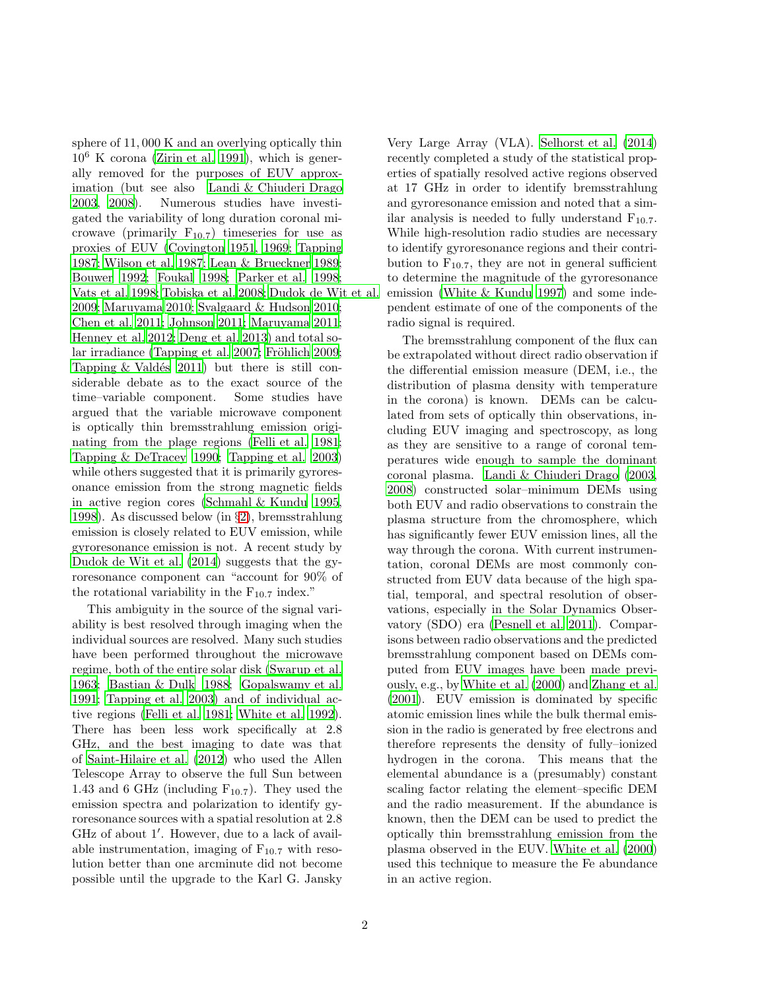sphere of 11, 000 K and an overlying optically thin  $10^6$  K corona [\(Zirin et al. 1991\)](#page-15-6), which is generally removed for the purposes of EUV approximation (but see also [Landi & Chiuderi Drago](#page-14-4) [2003,](#page-14-4) [2008\)](#page-14-5). Numerous studies have investigated the variability of long duration coronal microwave (primarily  $F_{10.7}$ ) timeseries for use as proxies of EUV [\(Covington 1951,](#page-13-1) [1969;](#page-13-4) [Tapping](#page-15-2) [1987;](#page-15-2) [Wilson et al. 1987](#page-15-7); [Lean & Brueckner 1989;](#page-14-6) [Bouwer 1992;](#page-13-7) [Foukal 1998;](#page-13-3) [Parker et al. 1998;](#page-14-7) [Vats et al. 1998;](#page-15-0) [Tobiska et al. 2008;](#page-15-4) [Dudok de Wit et al.](#page-13-8) [2009;](#page-13-8) [Maruyama 2010;](#page-14-8) [Svalgaard & Hudson 2010;](#page-15-8) [Chen et al. 2011](#page-13-9); [Johnson 2011;](#page-14-9) [Maruyama 2011;](#page-14-10) [Henney et al. 2012](#page-14-11); [Deng et al. 2013\)](#page-13-10) and total so-lar irradiance [\(Tapping et al. 2007;](#page-15-9) Fröhlich 2009; Tapping  $&$  Valdés 2011) but there is still considerable debate as to the exact source of the time–variable component. Some studies have argued that the variable microwave component is optically thin bremsstrahlung emission originating from the plage regions [\(Felli et al. 1981;](#page-13-11) [Tapping & DeTracey 1990;](#page-15-11) [Tapping et al. 2003\)](#page-15-1) while others suggested that it is primarily gyroresonance emission from the strong magnetic fields in active region cores [\(Schmahl & Kundu 1995,](#page-14-13) [1998\)](#page-14-14). As discussed below (in §[2\)](#page-2-0), bremsstrahlung emission is closely related to EUV emission, while gyroresonance emission is not. A recent study by [Dudok de Wit et al. \(2014](#page-13-12)) suggests that the gyroresonance component can "account for 90% of the rotational variability in the  $F_{10.7}$  index."

This ambiguity in the source of the signal variability is best resolved through imaging when the individual sources are resolved. Many such studies have been performed throughout the microwave regime, both of the entire solar disk [\(Swarup et al.](#page-15-5) [1963;](#page-15-5) [Bastian & Dulk 1988](#page-13-13); [Gopalswamy et al.](#page-14-15) [1991;](#page-14-15) [Tapping et al. 2003\)](#page-15-1) and of individual active regions [\(Felli et al. 1981;](#page-13-11) [White et al. 1992\)](#page-15-12). There has been less work specifically at 2.8 GHz, and the best imaging to date was that of [Saint-Hilaire et al. \(2012\)](#page-14-16) who used the Allen Telescope Array to observe the full Sun between 1.43 and 6 GHz (including  $F_{10.7}$ ). They used the emission spectra and polarization to identify gyroresonance sources with a spatial resolution at 2.8 GHz of about 1′ . However, due to a lack of available instrumentation, imaging of  $F_{10.7}$  with resolution better than one arcminute did not become possible until the upgrade to the Karl G. Jansky

Very Large Array (VLA). [Selhorst et al. \(2014\)](#page-15-13) recently completed a study of the statistical properties of spatially resolved active regions observed at 17 GHz in order to identify bremsstrahlung and gyroresonance emission and noted that a similar analysis is needed to fully understand  $F_{10.7}$ . While high-resolution radio studies are necessary to identify gyroresonance regions and their contribution to  $F_{10.7}$ , they are not in general sufficient to determine the magnitude of the gyroresonance emission [\(White & Kundu 1997\)](#page-15-14) and some independent estimate of one of the components of the radio signal is required.

The bremsstrahlung component of the flux can be extrapolated without direct radio observation if the differential emission measure (DEM, i.e., the distribution of plasma density with temperature in the corona) is known. DEMs can be calculated from sets of optically thin observations, including EUV imaging and spectroscopy, as long as they are sensitive to a range of coronal temperatures wide enough to sample the dominant coronal plasma. [Landi & Chiuderi Drago \(2003,](#page-14-4) [2008\)](#page-14-5) constructed solar–minimum DEMs using both EUV and radio observations to constrain the plasma structure from the chromosphere, which has significantly fewer EUV emission lines, all the way through the corona. With current instrumentation, coronal DEMs are most commonly constructed from EUV data because of the high spatial, temporal, and spectral resolution of observations, especially in the Solar Dynamics Observatory (SDO) era [\(Pesnell et al. 2011\)](#page-14-17). Comparisons between radio observations and the predicted bremsstrahlung component based on DEMs computed from EUV images have been made previously, e.g., by [White et al. \(2000](#page-15-15)) and [Zhang et al.](#page-15-16) [\(2001\)](#page-15-16). EUV emission is dominated by specific atomic emission lines while the bulk thermal emission in the radio is generated by free electrons and therefore represents the density of fully–ionized hydrogen in the corona. This means that the elemental abundance is a (presumably) constant scaling factor relating the element–specific DEM and the radio measurement. If the abundance is known, then the DEM can be used to predict the optically thin bremsstrahlung emission from the plasma observed in the EUV. [White et al. \(2000\)](#page-15-15) used this technique to measure the Fe abundance in an active region.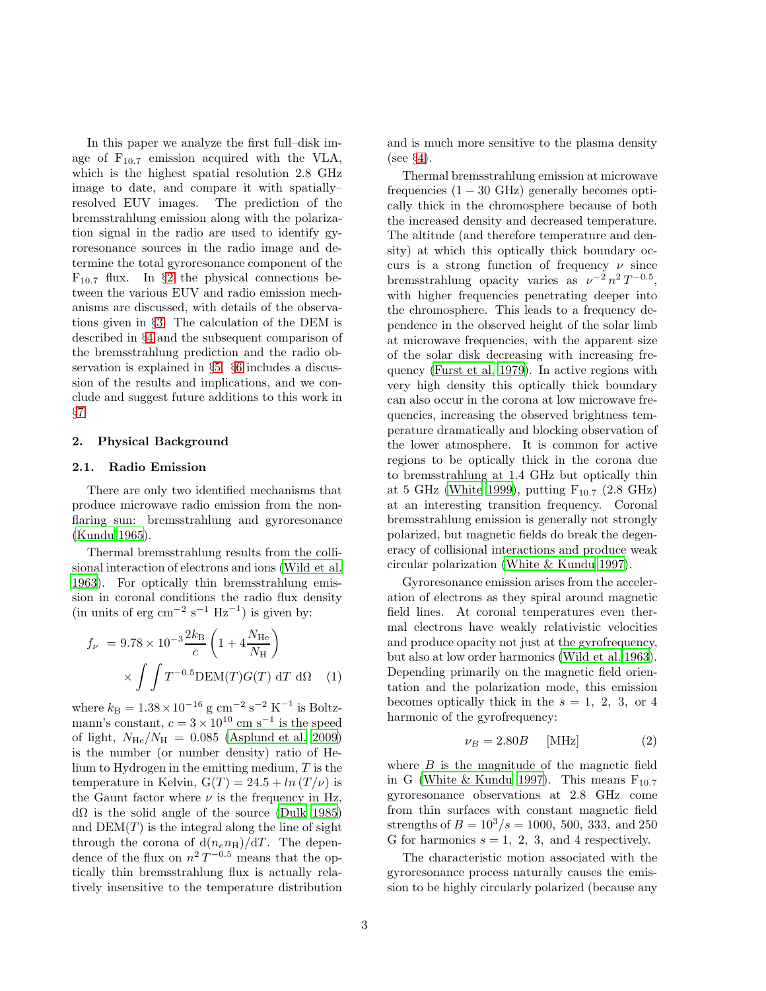In this paper we analyze the first full–disk image of  $F_{10.7}$  emission acquired with the VLA, which is the highest spatial resolution 2.8 GHz image to date, and compare it with spatially– resolved EUV images. The prediction of the bremsstrahlung emission along with the polarization signal in the radio are used to identify gyroresonance sources in the radio image and determine the total gyroresonance component of the  $F_{10.7}$  flux. In §[2](#page-2-0) the physical connections between the various EUV and radio emission mechanisms are discussed, with details of the observations given in §[3.](#page-3-0) The calculation of the DEM is described in §[4](#page-5-0) and the subsequent comparison of the bremsstrahlung prediction and the radio observation is explained in §[5.](#page-7-0) §[6](#page-10-0) includes a discussion of the results and implications, and we conclude and suggest future additions to this work in §[7.](#page-12-0)

#### <span id="page-2-0"></span>2. Physical Background

## 2.1. Radio Emission

There are only two identified mechanisms that produce microwave radio emission from the nonflaring sun: bremsstrahlung and gyroresonance [\(Kundu 1965\)](#page-14-18).

Thermal bremsstrahlung results from the collisional interaction of electrons and ions [\(Wild et al.](#page-15-17) [1963\)](#page-15-17). For optically thin bremsstrahlung emission in coronal conditions the radio flux density  $(in \ units \ of \ erg \ cm^{-2} \ s^{-1} \ Hz^{-1})$  is given by:

$$
f_{\nu} = 9.78 \times 10^{-3} \frac{2k_{\text{B}}}{c} \left( 1 + 4 \frac{N_{\text{He}}}{N_{\text{H}}} \right)
$$

$$
\times \int \int T^{-0.5} \text{DEM}(T) G(T) \, dT \, d\Omega \quad (1)
$$

where  $k_{\text{B}} = 1.38 \times 10^{-16} \text{ g cm}^{-2} \text{ s}^{-2} \text{ K}^{-1}$  is Boltzmann's constant,  $c = 3 \times 10^{10}$  cm s<sup>-1</sup> is the speed of light,  $N_{\text{He}}/N_{\text{H}} = 0.085$  [\(Asplund et al. 2009\)](#page-13-14) is the number (or number density) ratio of Helium to Hydrogen in the emitting medium, T is the temperature in Kelvin,  $G(T) = 24.5 + ln(T/\nu)$  is the Gaunt factor where  $\nu$  is the frequency in Hz, dΩ is the solid angle of the source [\(Dulk 1985\)](#page-13-15) and  $DEM(T)$  is the integral along the line of sight through the corona of  $d(n_e n_H)/dT$ . The dependence of the flux on  $n^2 T^{-0.5}$  means that the optically thin bremsstrahlung flux is actually relatively insensitive to the temperature distribution and is much more sensitive to the plasma density (see §[4\)](#page-5-0).

Thermal bremsstrahlung emission at microwave frequencies  $(1 - 30 \text{ GHz})$  generally becomes optically thick in the chromosphere because of both the increased density and decreased temperature. The altitude (and therefore temperature and density) at which this optically thick boundary occurs is a strong function of frequency  $\nu$  since bremsstrahlung opacity varies as  $\nu^{-2} n^2 T^{-0.5}$ , with higher frequencies penetrating deeper into the chromosphere. This leads to a frequency dependence in the observed height of the solar limb at microwave frequencies, with the apparent size of the solar disk decreasing with increasing frequency [\(Furst et al. 1979](#page-14-19)). In active regions with very high density this optically thick boundary can also occur in the corona at low microwave frequencies, increasing the observed brightness temperature dramatically and blocking observation of the lower atmosphere. It is common for active regions to be optically thick in the corona due to bremsstrahlung at 1.4 GHz but optically thin at 5 GHz [\(White 1999\)](#page-15-18), putting  $F_{10.7}$  (2.8 GHz) at an interesting transition frequency. Coronal bremsstrahlung emission is generally not strongly polarized, but magnetic fields do break the degeneracy of collisional interactions and produce weak circular polarization [\(White & Kundu 1997\)](#page-15-14).

<span id="page-2-1"></span>Gyroresonance emission arises from the acceleration of electrons as they spiral around magnetic field lines. At coronal temperatures even thermal electrons have weakly relativistic velocities and produce opacity not just at the gyrofrequency, but also at low order harmonics [\(Wild et al. 1963\)](#page-15-17). Depending primarily on the magnetic field orientation and the polarization mode, this emission becomes optically thick in the  $s = 1, 2, 3$ , or 4 harmonic of the gyrofrequency:

<span id="page-2-2"></span>
$$
\nu_B = 2.80B \qquad \text{[MHz]} \tag{2}
$$

where  $B$  is the magnitude of the magnetic field in G [\(White & Kundu 1997](#page-15-14)). This means  $F_{10.7}$ gyroresonance observations at 2.8 GHz come from thin surfaces with constant magnetic field strengths of  $B = 10^3/s = 1000, 500, 333, \text{ and } 250$ G for harmonics  $s = 1, 2, 3,$  and 4 respectively.

The characteristic motion associated with the gyroresonance process naturally causes the emission to be highly circularly polarized (because any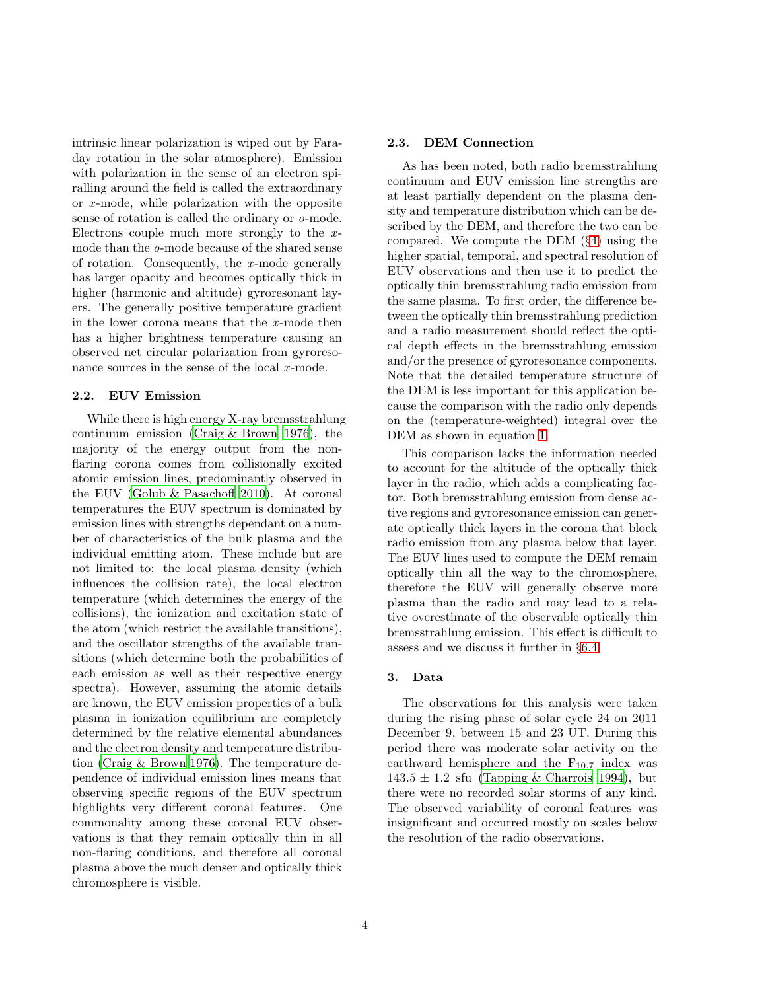intrinsic linear polarization is wiped out by Faraday rotation in the solar atmosphere). Emission with polarization in the sense of an electron spiralling around the field is called the extraordinary or *x* -mode, while polarization with the opposite sense of rotation is called the ordinary or *o*-mode. Electrons couple much more strongly to the *x*mode than the *o*-mode because of the shared sense of rotation. Consequently, the *x* -mode generally has larger opacity and becomes optically thick in higher (harmonic and altitude) gyroresonant layers. The generally positive temperature gradient in the lower corona means that the *x* -mode then has a higher brightness temperature causing an observed net circular polarization from gyroresonance sources in the sense of the local *x*-mode.

# 2.2. EUV Emission

While there is high energy X-ray bremsstrahlung continuum emission [\(Craig & Brown 1976](#page-13-16)), the majority of the energy output from the nonflaring corona comes from collisionally excited atomic emission lines, predominantly observed in the EUV [\(Golub & Pasachoff 2010](#page-14-20)). At coronal temperatures the EUV spectrum is dominated by emission lines with strengths dependant on a number of characteristics of the bulk plasma and the individual emitting atom. These include but are not limited to: the local plasma density (which influences the collision rate), the local electron temperature (which determines the energy of the collisions), the ionization and excitation state of the atom (which restrict the available transitions), and the oscillator strengths of the available transitions (which determine both the probabilities of each emission as well as their respective energy spectra). However, assuming the atomic details are known, the EUV emission properties of a bulk plasma in ionization equilibrium are completely determined by the relative elemental abundances and the electron density and temperature distribution [\(Craig & Brown 1976\)](#page-13-16). The temperature dependence of individual emission lines means that observing specific regions of the EUV spectrum highlights very different coronal features. One commonality among these coronal EUV observations is that they remain optically thin in all non-flaring conditions, and therefore all coronal plasma above the much denser and optically thick chromosphere is visible.

# 2.3. DEM Connection

As has been noted, both radio bremsstrahlung continuum and EUV emission line strengths are at least partially dependent on the plasma density and temperature distribution which can be described by the DEM, and therefore the two can be compared. We compute the DEM (§[4\)](#page-5-0) using the higher spatial, temporal, and spectral resolution of EUV observations and then use it to predict the optically thin bremsstrahlung radio emission from the same plasma. To first order, the difference between the optically thin bremsstrahlung prediction and a radio measurement should reflect the optical depth effects in the bremsstrahlung emission and/or the presence of gyroresonance components. Note that the detailed temperature structure of the DEM is less important for this application because the comparison with the radio only depends on the (temperature-weighted) integral over the DEM as shown in equation [1.](#page-2-1)

This comparison lacks the information needed to account for the altitude of the optically thick layer in the radio, which adds a complicating factor. Both bremsstrahlung emission from dense active regions and gyroresonance emission can generate optically thick layers in the corona that block radio emission from any plasma below that layer. The EUV lines used to compute the DEM remain optically thin all the way to the chromosphere, therefore the EUV will generally observe more plasma than the radio and may lead to a relative overestimate of the observable optically thin bremsstrahlung emission. This effect is difficult to assess and we discuss it further in §[6.4.](#page-12-1)

## <span id="page-3-0"></span>3. Data

The observations for this analysis were taken during the rising phase of solar cycle 24 on 2011 December 9, between 15 and 23 UT. During this period there was moderate solar activity on the earthward hemisphere and the  $F_{10.7}$  index was  $143.5 \pm 1.2$  sfu [\(Tapping & Charrois 1994\)](#page-15-19), but there were no recorded solar storms of any kind. The observed variability of coronal features was insignificant and occurred mostly on scales below the resolution of the radio observations.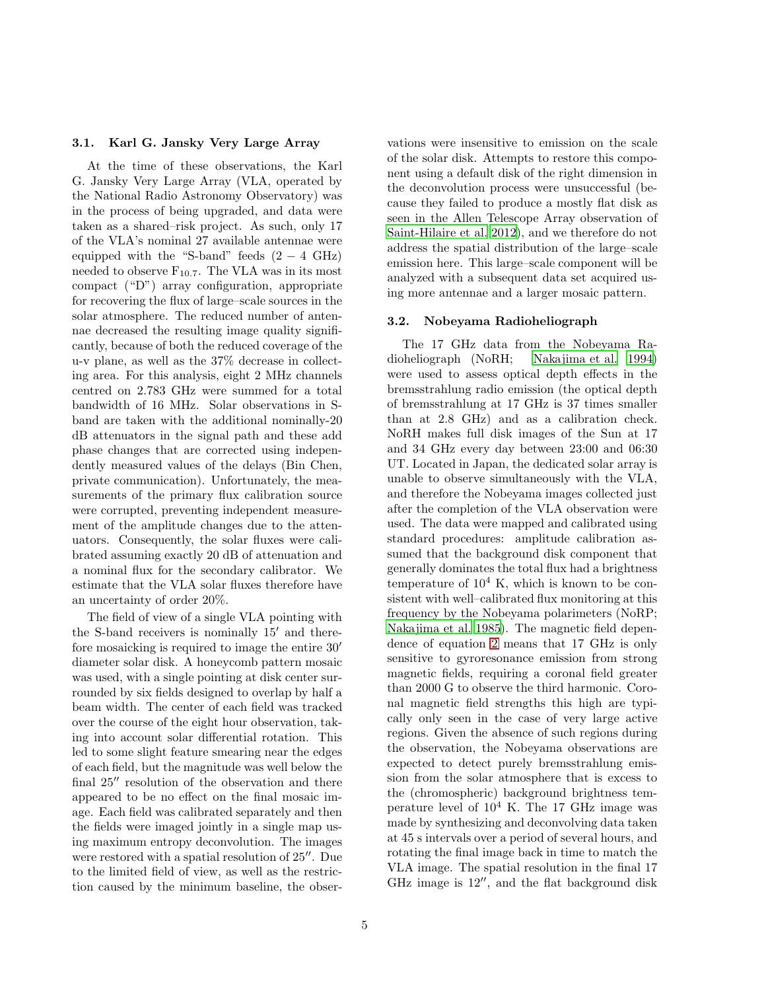# 3.1. Karl G. Jansky Very Large Array

At the time of these observations, the Karl G. Jansky Very Large Array (VLA, operated by the National Radio Astronomy Observatory) was in the process of being upgraded, and data were taken as a shared–risk project. As such, only 17 of the VLA's nominal 27 available antennae were equipped with the "S-band" feeds  $(2 - 4 \text{ GHz})$ needed to observe  $F_{10.7}$ . The VLA was in its most compact ("D") array configuration, appropriate for recovering the flux of large–scale sources in the solar atmosphere. The reduced number of antennae decreased the resulting image quality significantly, because of both the reduced coverage of the u-v plane, as well as the 37% decrease in collecting area. For this analysis, eight 2 MHz channels centred on 2.783 GHz were summed for a total bandwidth of 16 MHz. Solar observations in Sband are taken with the additional nominally-20 dB attenuators in the signal path and these add phase changes that are corrected using independently measured values of the delays (Bin Chen, private communication). Unfortunately, the measurements of the primary flux calibration source were corrupted, preventing independent measurement of the amplitude changes due to the attenuators. Consequently, the solar fluxes were calibrated assuming exactly 20 dB of attenuation and a nominal flux for the secondary calibrator. We estimate that the VLA solar fluxes therefore have an uncertainty of order 20%.

The field of view of a single VLA pointing with the S-band receivers is nominally 15′ and therefore mosaicking is required to image the entire 30′ diameter solar disk. A honeycomb pattern mosaic was used, with a single pointing at disk center surrounded by six fields designed to overlap by half a beam width. The center of each field was tracked over the course of the eight hour observation, taking into account solar differential rotation. This led to some slight feature smearing near the edges of each field, but the magnitude was well below the final 25′′ resolution of the observation and there appeared to be no effect on the final mosaic image. Each field was calibrated separately and then the fields were imaged jointly in a single map using maximum entropy deconvolution. The images were restored with a spatial resolution of 25′′. Due to the limited field of view, as well as the restriction caused by the minimum baseline, the observations were insensitive to emission on the scale of the solar disk. Attempts to restore this component using a default disk of the right dimension in the deconvolution process were unsuccessful (because they failed to produce a mostly flat disk as seen in the Allen Telescope Array observation of [Saint-Hilaire et al. 2012\)](#page-14-16), and we therefore do not address the spatial distribution of the large–scale emission here. This large–scale component will be analyzed with a subsequent data set acquired using more antennae and a larger mosaic pattern.

## 3.2. Nobeyama Radioheliograph

The 17 GHz data from the Nobeyama Radioheliograph (NoRH; [Nakajima et al. 1994\)](#page-14-21) were used to assess optical depth effects in the bremsstrahlung radio emission (the optical depth of bremsstrahlung at 17 GHz is 37 times smaller than at 2.8 GHz) and as a calibration check. NoRH makes full disk images of the Sun at 17 and 34 GHz every day between 23:00 and 06:30 UT. Located in Japan, the dedicated solar array is unable to observe simultaneously with the VLA, and therefore the Nobeyama images collected just after the completion of the VLA observation were used. The data were mapped and calibrated using standard procedures: amplitude calibration assumed that the background disk component that generally dominates the total flux had a brightness temperature of  $10^4$  K, which is known to be consistent with well–calibrated flux monitoring at this frequency by the Nobeyama polarimeters (NoRP; [Nakajima et al. 1985](#page-14-22)). The magnetic field dependence of equation [2](#page-2-2) means that 17 GHz is only sensitive to gyroresonance emission from strong magnetic fields, requiring a coronal field greater than 2000 G to observe the third harmonic. Coronal magnetic field strengths this high are typically only seen in the case of very large active regions. Given the absence of such regions during the observation, the Nobeyama observations are expected to detect purely bremsstrahlung emission from the solar atmosphere that is excess to the (chromospheric) background brightness temperature level of  $10^4$  K. The 17 GHz image was made by synthesizing and deconvolving data taken at 45 s intervals over a period of several hours, and rotating the final image back in time to match the VLA image. The spatial resolution in the final 17 GHz image is 12′′, and the flat background disk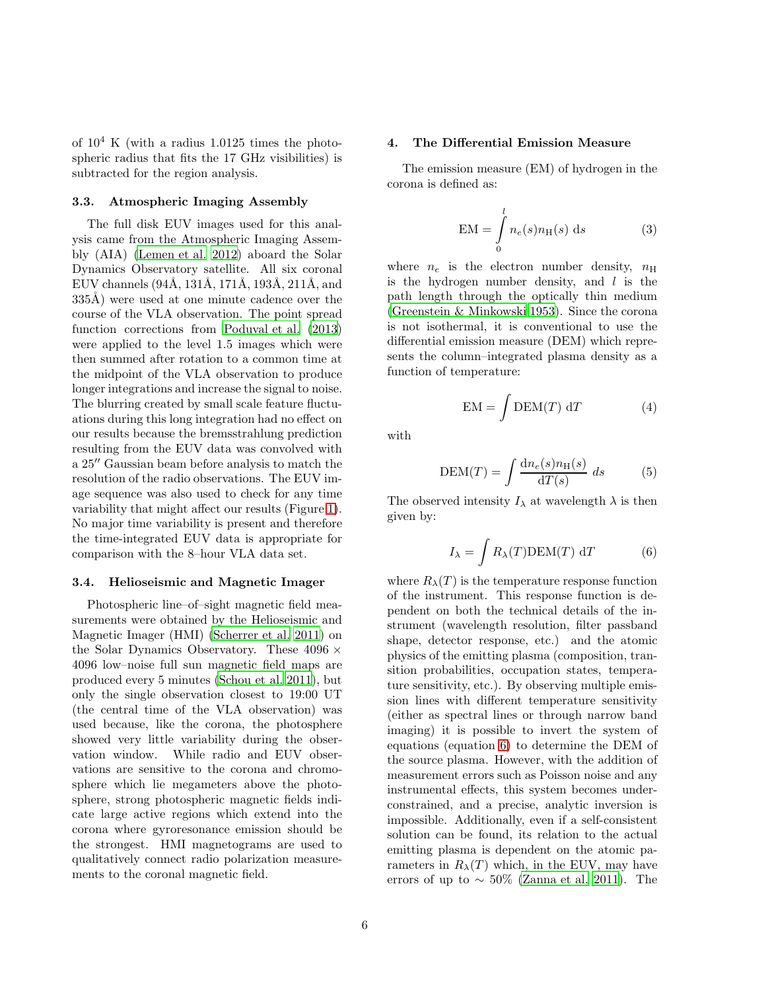of  $10^4$  K (with a radius 1.0125 times the photospheric radius that fits the 17 GHz visibilities) is subtracted for the region analysis.

#### 3.3. Atmospheric Imaging Assembly

The full disk EUV images used for this analysis came from the Atmospheric Imaging Assembly (AIA) [\(Lemen et al. 2012\)](#page-14-23) aboard the Solar Dynamics Observatory satellite. All six coronal EUV channels  $(94\text{\AA}, 131\text{\AA}, 171\text{\AA}, 193\text{\AA}, 211\text{\AA}, \text{and}$ 335Å) were used at one minute cadence over the course of the VLA observation. The point spread function corrections from [Poduval et al. \(2013\)](#page-14-24) were applied to the level 1.5 images which were then summed after rotation to a common time at the midpoint of the VLA observation to produce longer integrations and increase the signal to noise. The blurring created by small scale feature fluctuations during this long integration had no effect on our results because the bremsstrahlung prediction resulting from the EUV data was convolved with a 25′′ Gaussian beam before analysis to match the resolution of the radio observations. The EUV image sequence was also used to check for any time variability that might affect our results (Figure [1\)](#page-6-0). No major time variability is present and therefore the time-integrated EUV data is appropriate for comparison with the 8–hour VLA data set.

#### 3.4. Helioseismic and Magnetic Imager

Photospheric line–of–sight magnetic field measurements were obtained by the Helioseismic and Magnetic Imager (HMI) [\(Scherrer et al. 2011\)](#page-14-25) on the Solar Dynamics Observatory. These  $4096 \times$ 4096 low–noise full sun magnetic field maps are produced every 5 minutes [\(Schou et al. 2011](#page-14-26)), but only the single observation closest to 19:00 UT (the central time of the VLA observation) was used because, like the corona, the photosphere showed very little variability during the observation window. While radio and EUV observations are sensitive to the corona and chromosphere which lie megameters above the photosphere, strong photospheric magnetic fields indicate large active regions which extend into the corona where gyroresonance emission should be the strongest. HMI magnetograms are used to qualitatively connect radio polarization measurements to the coronal magnetic field.

#### <span id="page-5-0"></span>4. The Differential Emission Measure

The emission measure (EM) of hydrogen in the corona is defined as:

$$
EM = \int_{0}^{l} n_e(s) n_H(s) ds
$$
 (3)

where  $n_e$  is the electron number density,  $n_H$ is the hydrogen number density, and  $l$  is the path length through the optically thin medium [\(Greenstein & Minkowski 1953\)](#page-14-27). Since the corona is not isothermal, it is conventional to use the differential emission measure (DEM) which represents the column–integrated plasma density as a function of temperature:

$$
EM = \int DEM(T) dT \tag{4}
$$

with

$$
\text{DEM}(T) = \int \frac{\text{d}n_e(s)n_H(s)}{\text{d}T(s)} ds \tag{5}
$$

The observed intensity  $I_{\lambda}$  at wavelength  $\lambda$  is then given by:

<span id="page-5-1"></span>
$$
I_{\lambda} = \int R_{\lambda}(T) \text{DEM}(T) dT \qquad (6)
$$

where  $R_{\lambda}(T)$  is the temperature response function of the instrument. This response function is dependent on both the technical details of the instrument (wavelength resolution, filter passband shape, detector response, etc.) and the atomic physics of the emitting plasma (composition, transition probabilities, occupation states, temperature sensitivity, etc.). By observing multiple emission lines with different temperature sensitivity (either as spectral lines or through narrow band imaging) it is possible to invert the system of equations (equation [6\)](#page-5-1) to determine the DEM of the source plasma. However, with the addition of measurement errors such as Poisson noise and any instrumental effects, this system becomes underconstrained, and a precise, analytic inversion is impossible. Additionally, even if a self-consistent solution can be found, its relation to the actual emitting plasma is dependent on the atomic parameters in  $R_{\lambda}(T)$  which, in the EUV, may have errors of up to  $\sim 50\%$  [\(Zanna et al. 2011\)](#page-15-20). The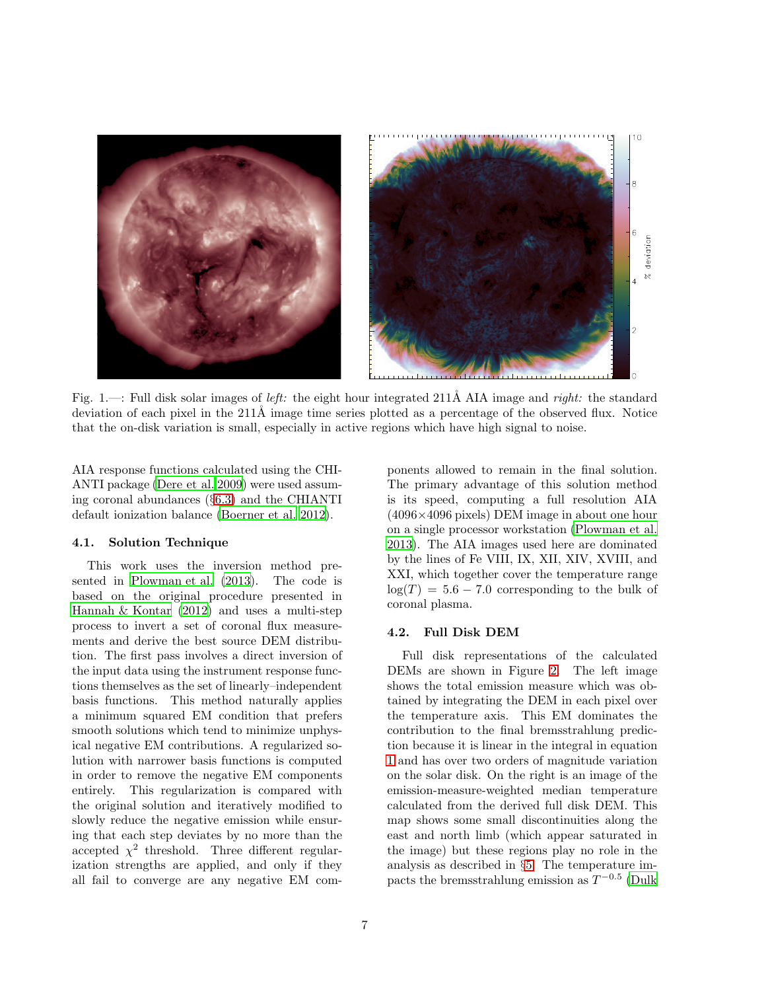<span id="page-6-0"></span>

Fig. 1.—: Full disk solar images of *left:* the eight hour integrated 211Å AIA image and *right:* the standard deviation of each pixel in the  $211\text{\AA}$  image time series plotted as a percentage of the observed flux. Notice that the on-disk variation is small, especially in active regions which have high signal to noise.

AIA response functions calculated using the CHI-ANTI package [\(Dere et al. 2009\)](#page-13-17) were used assuming coronal abundances (§[6.3\)](#page-11-0) and the CHIANTI default ionization balance [\(Boerner et al. 2012](#page-13-18)).

## 4.1. Solution Technique

This work uses the inversion method presented in [Plowman et al. \(2013](#page-14-28)). The code is based on the original procedure presented in [Hannah & Kontar \(2012\)](#page-14-29) and uses a multi-step process to invert a set of coronal flux measurements and derive the best source DEM distribution. The first pass involves a direct inversion of the input data using the instrument response functions themselves as the set of linearly–independent basis functions. This method naturally applies a minimum squared EM condition that prefers smooth solutions which tend to minimize unphysical negative EM contributions. A regularized solution with narrower basis functions is computed in order to remove the negative EM components entirely. This regularization is compared with the original solution and iteratively modified to slowly reduce the negative emission while ensuring that each step deviates by no more than the accepted  $\chi^2$  threshold. Three different regularization strengths are applied, and only if they all fail to converge are any negative EM components allowed to remain in the final solution. The primary advantage of this solution method is its speed, computing a full resolution AIA (4096×4096 pixels) DEM image in about one hour on a single processor workstation [\(Plowman et al.](#page-14-28) [2013\)](#page-14-28). The AIA images used here are dominated by the lines of Fe VIII, IX, XII, XIV, XVIII, and XXI, which together cover the temperature range  $log(T) = 5.6 - 7.0$  corresponding to the bulk of coronal plasma.

## 4.2. Full Disk DEM

Full disk representations of the calculated DEMs are shown in Figure [2.](#page-8-0) The left image shows the total emission measure which was obtained by integrating the DEM in each pixel over the temperature axis. This EM dominates the contribution to the final bremsstrahlung prediction because it is linear in the integral in equation [1](#page-2-1) and has over two orders of magnitude variation on the solar disk. On the right is an image of the emission-measure-weighted median temperature calculated from the derived full disk DEM. This map shows some small discontinuities along the east and north limb (which appear saturated in the image) but these regions play no role in the analysis as described in §[5.](#page-7-0) The temperature impacts the bremsstrahlung emission as  $T^{-0.5}$  [\(Dulk](#page-13-15)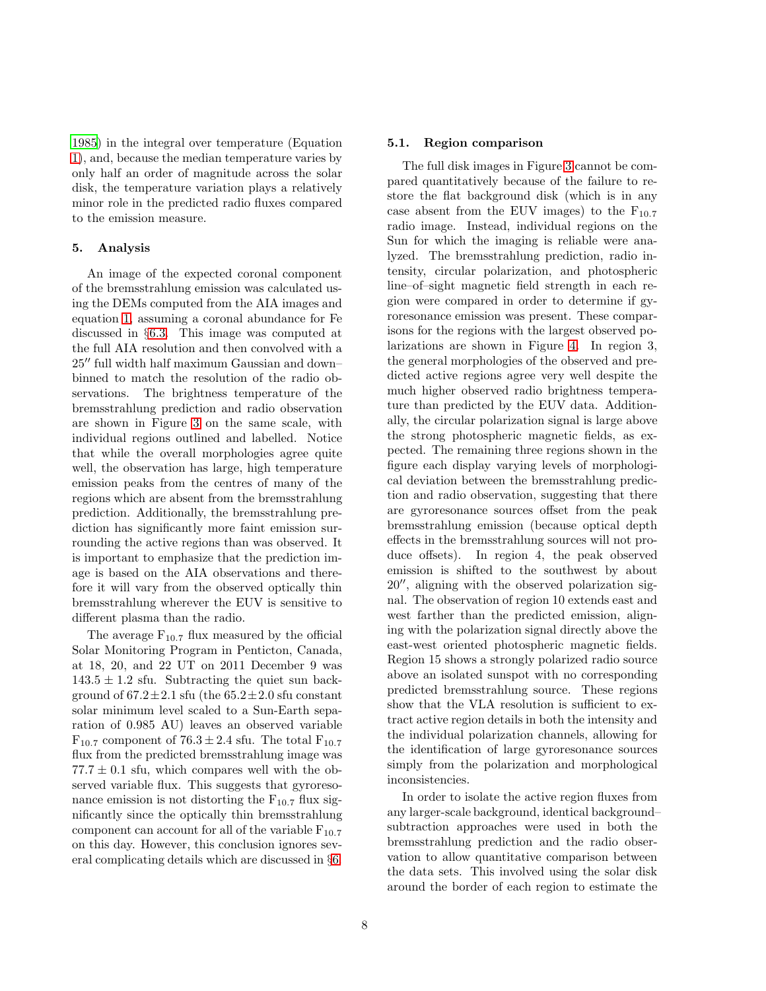[1985\)](#page-13-15) in the integral over temperature (Equation [1\)](#page-2-1), and, because the median temperature varies by only half an order of magnitude across the solar disk, the temperature variation plays a relatively minor role in the predicted radio fluxes compared to the emission measure.

# <span id="page-7-0"></span>5. Analysis

An image of the expected coronal component of the bremsstrahlung emission was calculated using the DEMs computed from the AIA images and equation [1,](#page-2-1) assuming a coronal abundance for Fe discussed in §[6.3.](#page-11-0) This image was computed at the full AIA resolution and then convolved with a 25′′ full width half maximum Gaussian and down– binned to match the resolution of the radio observations. The brightness temperature of the bremsstrahlung prediction and radio observation are shown in Figure [3](#page-8-1) on the same scale, with individual regions outlined and labelled. Notice that while the overall morphologies agree quite well, the observation has large, high temperature emission peaks from the centres of many of the regions which are absent from the bremsstrahlung prediction. Additionally, the bremsstrahlung prediction has significantly more faint emission surrounding the active regions than was observed. It is important to emphasize that the prediction image is based on the AIA observations and therefore it will vary from the observed optically thin bremsstrahlung wherever the EUV is sensitive to different plasma than the radio.

The average  $F_{10.7}$  flux measured by the official Solar Monitoring Program in Penticton, Canada, at 18, 20, and 22 UT on 2011 December 9 was  $143.5 \pm 1.2$  sfu. Subtracting the quiet sun background of  $67.2 \pm 2.1$  sfu (the  $65.2 \pm 2.0$  sfu constant solar minimum level scaled to a Sun-Earth separation of 0.985 AU) leaves an observed variable  $F_{10.7}$  component of  $76.3 \pm 2.4$  sfu. The total  $F_{10.7}$ flux from the predicted bremsstrahlung image was  $77.7 \pm 0.1$  sfu, which compares well with the observed variable flux. This suggests that gyroresonance emission is not distorting the  $F_{10.7}$  flux significantly since the optically thin bremsstrahlung component can account for all of the variable  $F_{10.7}$ on this day. However, this conclusion ignores several complicating details which are discussed in §[6.](#page-10-0)

## 5.1. Region comparison

The full disk images in Figure [3](#page-8-1) cannot be compared quantitatively because of the failure to restore the flat background disk (which is in any case absent from the EUV images) to the  $F_{10.7}$ radio image. Instead, individual regions on the Sun for which the imaging is reliable were analyzed. The bremsstrahlung prediction, radio intensity, circular polarization, and photospheric line–of–sight magnetic field strength in each region were compared in order to determine if gyroresonance emission was present. These comparisons for the regions with the largest observed polarizations are shown in Figure [4.](#page-9-0) In region 3, the general morphologies of the observed and predicted active regions agree very well despite the much higher observed radio brightness temperature than predicted by the EUV data. Additionally, the circular polarization signal is large above the strong photospheric magnetic fields, as expected. The remaining three regions shown in the figure each display varying levels of morphological deviation between the bremsstrahlung prediction and radio observation, suggesting that there are gyroresonance sources offset from the peak bremsstrahlung emission (because optical depth effects in the bremsstrahlung sources will not produce offsets). In region 4, the peak observed emission is shifted to the southwest by about 20′′, aligning with the observed polarization signal. The observation of region 10 extends east and west farther than the predicted emission, aligning with the polarization signal directly above the east-west oriented photospheric magnetic fields. Region 15 shows a strongly polarized radio source above an isolated sunspot with no corresponding predicted bremsstrahlung source. These regions show that the VLA resolution is sufficient to extract active region details in both the intensity and the individual polarization channels, allowing for the identification of large gyroresonance sources simply from the polarization and morphological inconsistencies.

In order to isolate the active region fluxes from any larger-scale background, identical background– subtraction approaches were used in both the bremsstrahlung prediction and the radio observation to allow quantitative comparison between the data sets. This involved using the solar disk around the border of each region to estimate the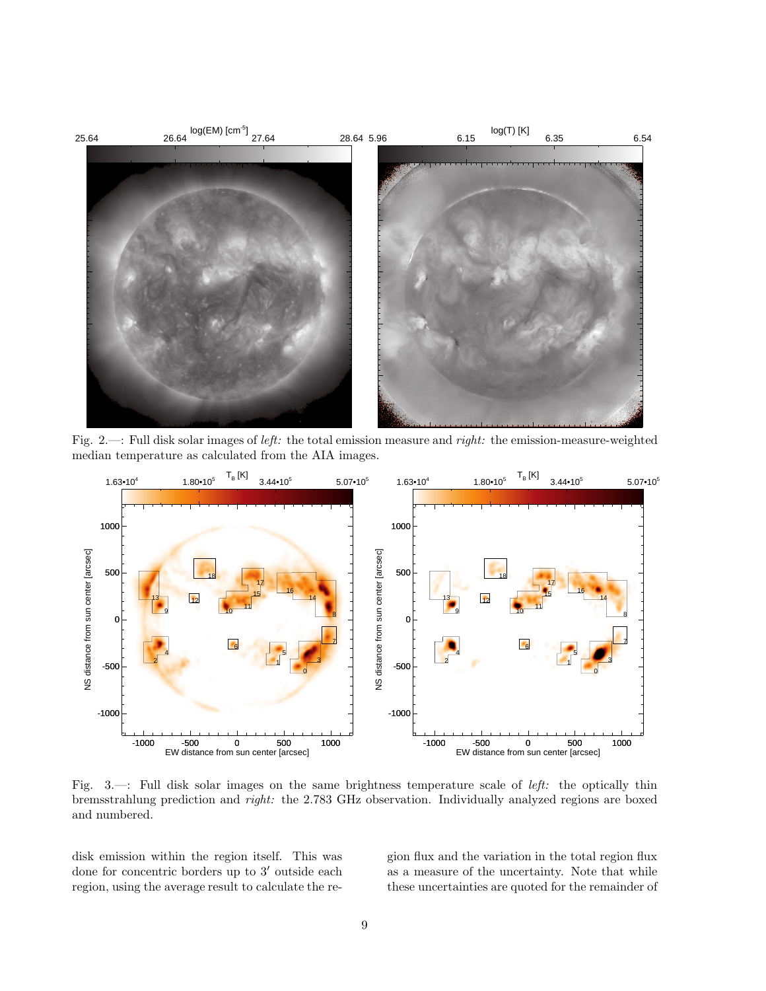<span id="page-8-0"></span>

Fig. 2.—: Full disk solar images of *left:* the total emission measure and *right:* the emission-measure-weighted median temperature as calculated from the AIA images.

<span id="page-8-1"></span>

Fig. 3.—: Full disk solar images on the same brightness temperature scale of *left:* the optically thin bremsstrahlung prediction and *right:* the 2.783 GHz observation. Individually analyzed regions are boxed and numbered.

disk emission within the region itself. This was done for concentric borders up to 3′ outside each region, using the average result to calculate the region flux and the variation in the total region flux as a measure of the uncertainty. Note that while these uncertainties are quoted for the remainder of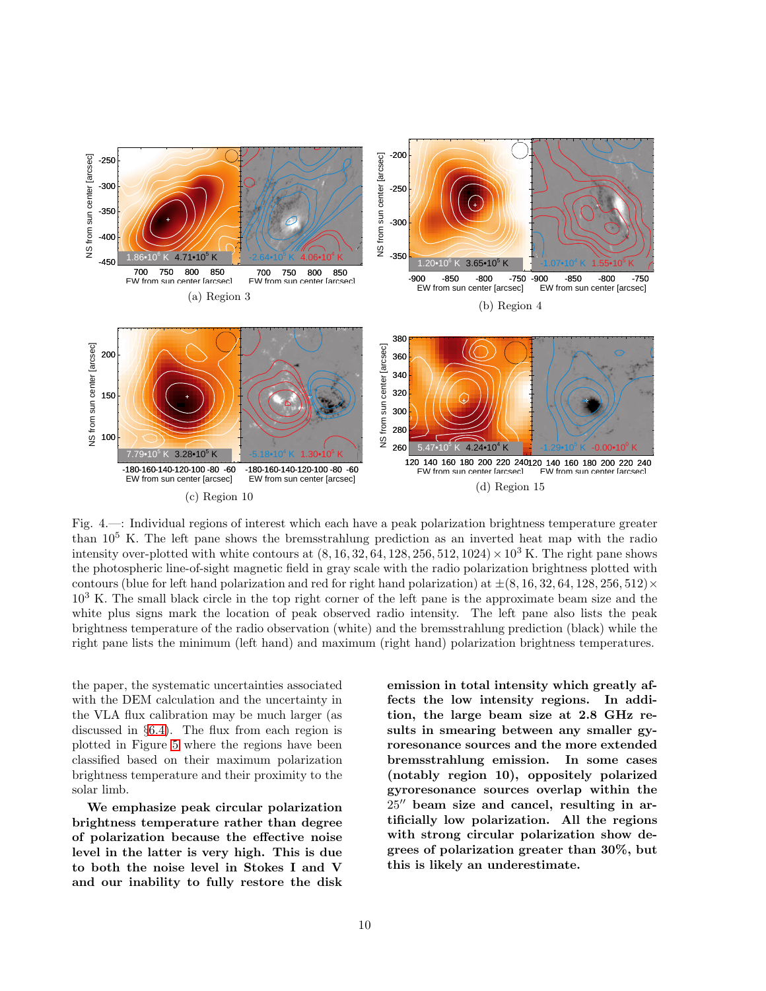<span id="page-9-0"></span>

Fig. 4.—: Individual regions of interest which each have a peak polarization brightness temperature greater than  $10^5$  K. The left pane shows the bremsstrahlung prediction as an inverted heat map with the radio intensity over-plotted with white contours at  $(8, 16, 32, 64, 128, 256, 512, 1024) \times 10^3$  K. The right pane shows the photospheric line-of-sight magnetic field in gray scale with the radio polarization brightness plotted with contours (blue for left hand polarization and red for right hand polarization) at  $\pm(8, 16, 32, 64, 128, 256, 512) \times$ 10<sup>3</sup> K. The small black circle in the top right corner of the left pane is the approximate beam size and the white plus signs mark the location of peak observed radio intensity. The left pane also lists the peak brightness temperature of the radio observation (white) and the bremsstrahlung prediction (black) while the right pane lists the minimum (left hand) and maximum (right hand) polarization brightness temperatures.

the paper, the systematic uncertainties associated with the DEM calculation and the uncertainty in the VLA flux calibration may be much larger (as discussed in §[6.4\)](#page-12-1). The flux from each region is plotted in Figure [5](#page-10-1) where the regions have been classified based on their maximum polarization brightness temperature and their proximity to the solar limb.

We emphasize peak circular polarization brightness temperature rather than degree of polarization because the effective noise level in the latter is very high. This is due to both the noise level in Stokes I and V and our inability to fully restore the disk emission in total intensity which greatly affects the low intensity regions. In addition, the large beam size at 2.8 GHz results in smearing between any smaller gyroresonance sources and the more extended bremsstrahlung emission. In some cases (notably region 10), oppositely polarized gyroresonance sources overlap within the 25′′ beam size and cancel, resulting in artificially low polarization. All the regions with strong circular polarization show degrees of polarization greater than 30%, but this is likely an underestimate.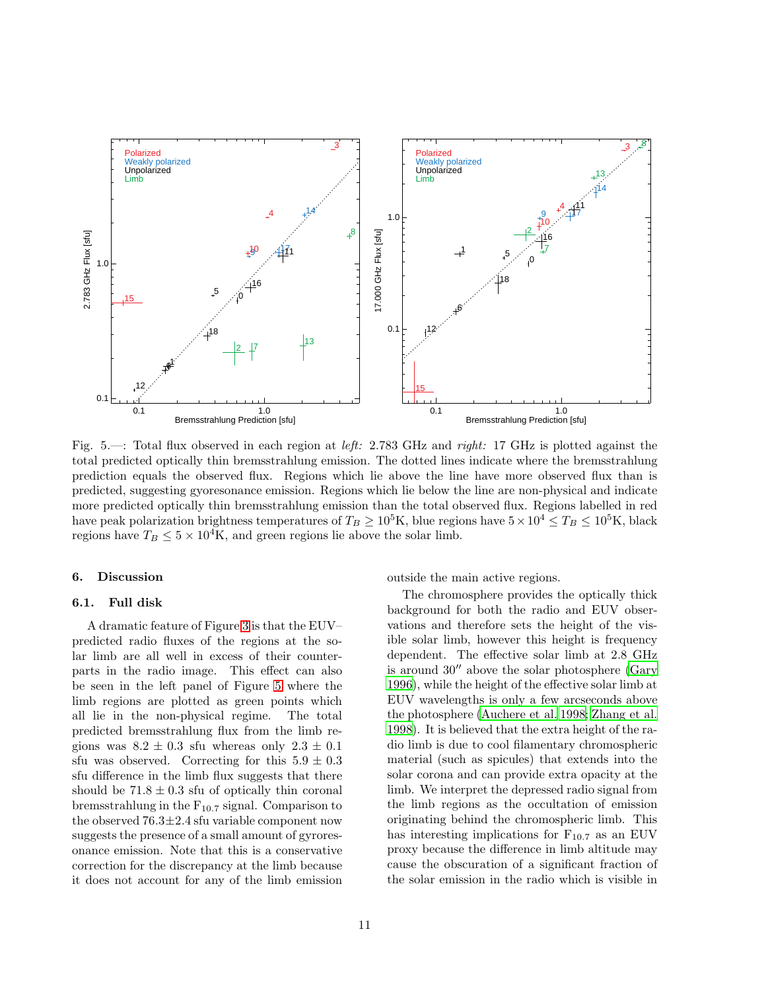<span id="page-10-1"></span>

Fig. 5.—: Total flux observed in each region at *left:* 2.783 GHz and *right:* 17 GHz is plotted against the total predicted optically thin bremsstrahlung emission. The dotted lines indicate where the bremsstrahlung prediction equals the observed flux. Regions which lie above the line have more observed flux than is predicted, suggesting gyoresonance emission. Regions which lie below the line are non-physical and indicate more predicted optically thin bremsstrahlung emission than the total observed flux. Regions labelled in red have peak polarization brightness temperatures of  $T_B \ge 10^5$ K, blue regions have  $5 \times 10^4 \le T_B \le 10^5$ K, black regions have  $T_B \leq 5 \times 10^4$ K, and green regions lie above the solar limb.

#### <span id="page-10-0"></span>6. Discussion

#### 6.1. Full disk

A dramatic feature of Figure [3](#page-8-1) is that the EUV– predicted radio fluxes of the regions at the solar limb are all well in excess of their counterparts in the radio image. This effect can also be seen in the left panel of Figure [5](#page-10-1) where the limb regions are plotted as green points which all lie in the non-physical regime. The total predicted bremsstrahlung flux from the limb regions was  $8.2 \pm 0.3$  sfu whereas only  $2.3 \pm 0.1$ sfu was observed. Correcting for this  $5.9 \pm 0.3$ sfu difference in the limb flux suggests that there should be  $71.8 \pm 0.3$  sfu of optically thin coronal bremsstrahlung in the  $F_{10.7}$  signal. Comparison to the observed  $76.3 \pm 2.4$  sfu variable component now suggests the presence of a small amount of gyroresonance emission. Note that this is a conservative correction for the discrepancy at the limb because it does not account for any of the limb emission

outside the main active regions.

The chromosphere provides the optically thick background for both the radio and EUV observations and therefore sets the height of the visible solar limb, however this height is frequency dependent. The effective solar limb at 2.8 GHz is around 30′′ above the solar photosphere [\(Gary](#page-14-30) [1996\)](#page-14-30), while the height of the effective solar limb at EUV wavelengths is only a few arcseconds above the photosphere [\(Auchere et al. 1998;](#page-13-19) [Zhang et al.](#page-15-21) [1998\)](#page-15-21). It is believed that the extra height of the radio limb is due to cool filamentary chromospheric material (such as spicules) that extends into the solar corona and can provide extra opacity at the limb. We interpret the depressed radio signal from the limb regions as the occultation of emission originating behind the chromospheric limb. This has interesting implications for  $F_{10.7}$  as an EUV proxy because the difference in limb altitude may cause the obscuration of a significant fraction of the solar emission in the radio which is visible in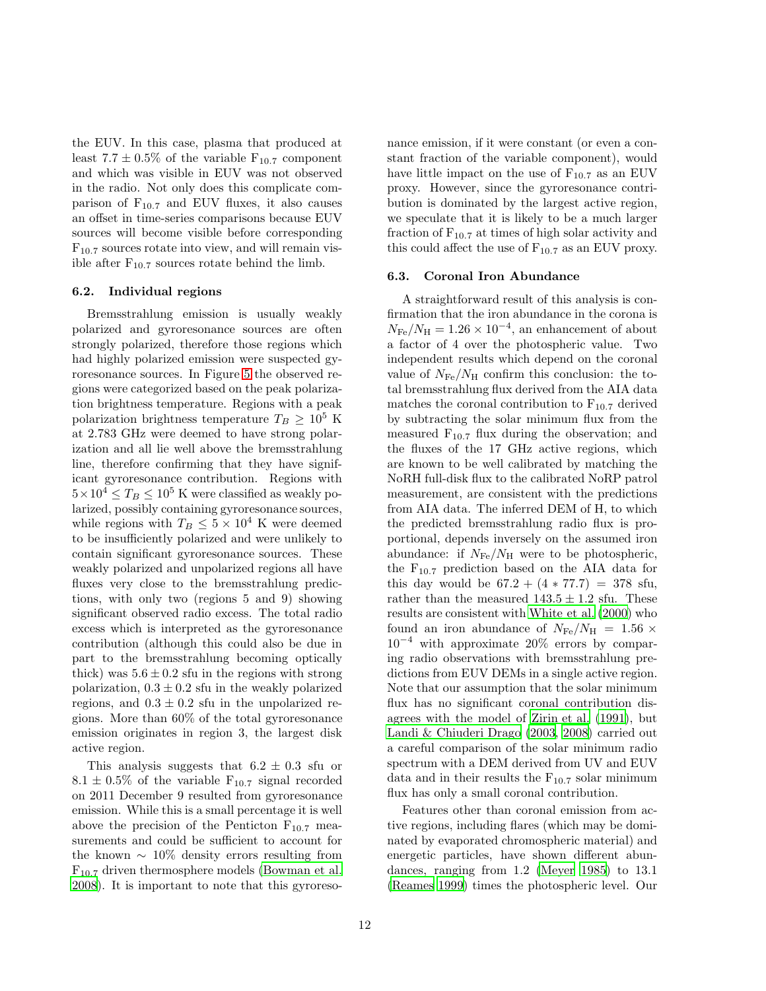the EUV. In this case, plasma that produced at least  $7.7 \pm 0.5\%$  of the variable  $F_{10.7}$  component and which was visible in EUV was not observed in the radio. Not only does this complicate comparison of  $F_{10.7}$  and EUV fluxes, it also causes an offset in time-series comparisons because EUV sources will become visible before corresponding  $F_{10.7}$  sources rotate into view, and will remain visible after  $F_{10.7}$  sources rotate behind the limb.

## 6.2. Individual regions

Bremsstrahlung emission is usually weakly polarized and gyroresonance sources are often strongly polarized, therefore those regions which had highly polarized emission were suspected gyroresonance sources. In Figure [5](#page-10-1) the observed regions were categorized based on the peak polarization brightness temperature. Regions with a peak polarization brightness temperature  $T_B \geq 10^5$  K at 2.783 GHz were deemed to have strong polarization and all lie well above the bremsstrahlung line, therefore confirming that they have significant gyroresonance contribution. Regions with  $5 \times 10^4 \le T_B \le 10^5$  K were classified as weakly polarized, possibly containing gyroresonance sources, while regions with  $T_B \leq 5 \times 10^4$  K were deemed to be insufficiently polarized and were unlikely to contain significant gyroresonance sources. These weakly polarized and unpolarized regions all have fluxes very close to the bremsstrahlung predictions, with only two (regions 5 and 9) showing significant observed radio excess. The total radio excess which is interpreted as the gyroresonance contribution (although this could also be due in part to the bremsstrahlung becoming optically thick) was  $5.6 \pm 0.2$  sfu in the regions with strong polarization,  $0.3 \pm 0.2$  sfu in the weakly polarized regions, and  $0.3 \pm 0.2$  sfu in the unpolarized regions. More than 60% of the total gyroresonance emission originates in region 3, the largest disk active region.

This analysis suggests that  $6.2 \pm 0.3$  sfu or  $8.1 \pm 0.5\%$  of the variable  $F_{10.7}$  signal recorded on 2011 December 9 resulted from gyroresonance emission. While this is a small percentage it is well above the precision of the Penticton  $F_{10.7}$  measurements and could be sufficient to account for the known  $\sim 10\%$  density errors resulting from F10.7 driven thermosphere models [\(Bowman et al.](#page-13-20) [2008\)](#page-13-20). It is important to note that this gyroresonance emission, if it were constant (or even a constant fraction of the variable component), would have little impact on the use of  $F_{10.7}$  as an EUV proxy. However, since the gyroresonance contribution is dominated by the largest active region, we speculate that it is likely to be a much larger fraction of  $F_{10.7}$  at times of high solar activity and this could affect the use of  $F_{10.7}$  as an EUV proxy.

## <span id="page-11-0"></span>6.3. Coronal Iron Abundance

A straightforward result of this analysis is confirmation that the iron abundance in the corona is  $N_{\text{Fe}}/N_{\text{H}} = 1.26 \times 10^{-4}$ , an enhancement of about a factor of 4 over the photospheric value. Two independent results which depend on the coronal value of  $N_{\text{Fe}}/N_{\text{H}}$  confirm this conclusion: the total bremsstrahlung flux derived from the AIA data matches the coronal contribution to  $F_{10.7}$  derived by subtracting the solar minimum flux from the measured  $F_{10.7}$  flux during the observation; and the fluxes of the 17 GHz active regions, which are known to be well calibrated by matching the NoRH full-disk flux to the calibrated NoRP patrol measurement, are consistent with the predictions from AIA data. The inferred DEM of H, to which the predicted bremsstrahlung radio flux is proportional, depends inversely on the assumed iron abundance: if  $N_{\text{Fe}}/N_{\text{H}}$  were to be photospheric, the  $F_{10.7}$  prediction based on the AIA data for this day would be  $67.2 + (4 * 77.7) = 378$  sfu, rather than the measured  $143.5 \pm 1.2$  sfu. These results are consistent with [White et al. \(2000\)](#page-15-15) who found an iron abundance of  $N_{\rm Fe}/N_{\rm H}$  = 1.56  $\times$  $10^{-4}$  with approximate 20% errors by comparing radio observations with bremsstrahlung predictions from EUV DEMs in a single active region. Note that our assumption that the solar minimum flux has no significant coronal contribution disagrees with the model of [Zirin et al. \(1991\)](#page-15-6), but [Landi & Chiuderi Drago \(2003,](#page-14-4) [2008](#page-14-5)) carried out a careful comparison of the solar minimum radio spectrum with a DEM derived from UV and EUV data and in their results the  $F_{10.7}$  solar minimum flux has only a small coronal contribution.

Features other than coronal emission from active regions, including flares (which may be dominated by evaporated chromospheric material) and energetic particles, have shown different abundances, ranging from 1.2 [\(Meyer 1985\)](#page-14-31) to 13.1 [\(Reames 1999\)](#page-14-32) times the photospheric level. Our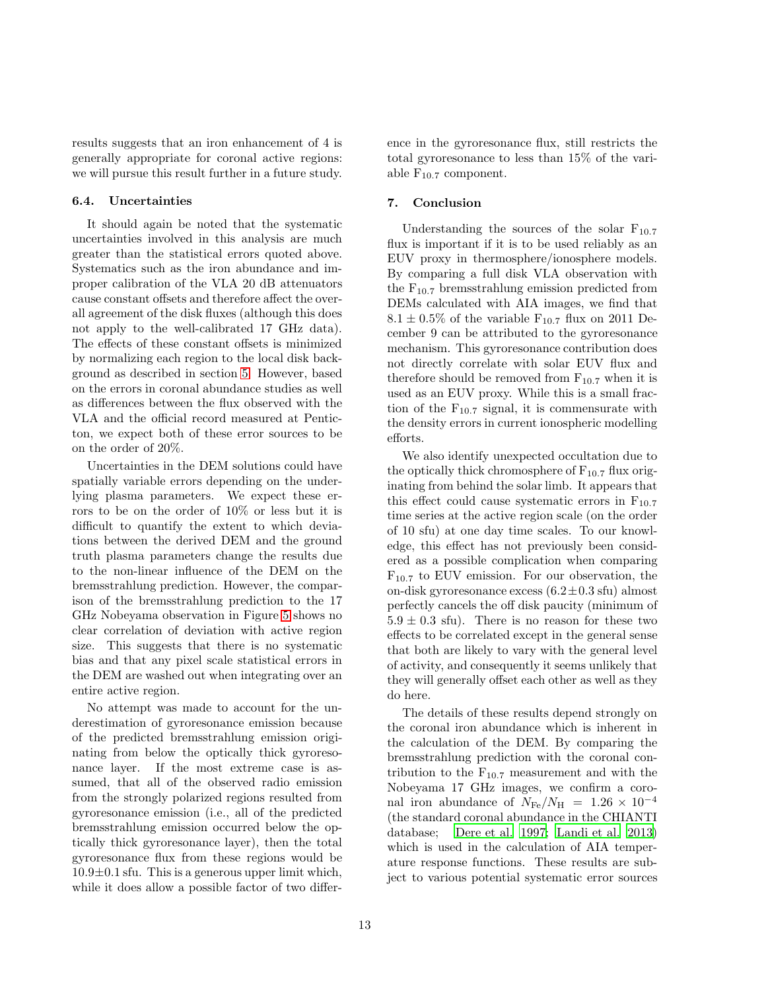results suggests that an iron enhancement of 4 is generally appropriate for coronal active regions: we will pursue this result further in a future study.

#### <span id="page-12-1"></span>6.4. Uncertainties

It should again be noted that the systematic uncertainties involved in this analysis are much greater than the statistical errors quoted above. Systematics such as the iron abundance and improper calibration of the VLA 20 dB attenuators cause constant offsets and therefore affect the overall agreement of the disk fluxes (although this does not apply to the well-calibrated 17 GHz data). The effects of these constant offsets is minimized by normalizing each region to the local disk background as described in section [5.](#page-7-0) However, based on the errors in coronal abundance studies as well as differences between the flux observed with the VLA and the official record measured at Penticton, we expect both of these error sources to be on the order of 20%.

Uncertainties in the DEM solutions could have spatially variable errors depending on the underlying plasma parameters. We expect these errors to be on the order of 10% or less but it is difficult to quantify the extent to which deviations between the derived DEM and the ground truth plasma parameters change the results due to the non-linear influence of the DEM on the bremsstrahlung prediction. However, the comparison of the bremsstrahlung prediction to the 17 GHz Nobeyama observation in Figure [5](#page-10-1) shows no clear correlation of deviation with active region size. This suggests that there is no systematic bias and that any pixel scale statistical errors in the DEM are washed out when integrating over an entire active region.

No attempt was made to account for the underestimation of gyroresonance emission because of the predicted bremsstrahlung emission originating from below the optically thick gyroresonance layer. If the most extreme case is assumed, that all of the observed radio emission from the strongly polarized regions resulted from gyroresonance emission (i.e., all of the predicted bremsstrahlung emission occurred below the optically thick gyroresonance layer), then the total gyroresonance flux from these regions would be  $10.9\pm0.1$  sfu. This is a generous upper limit which, while it does allow a possible factor of two difference in the gyroresonance flux, still restricts the total gyroresonance to less than 15% of the variable  $F_{10.7}$  component.

## <span id="page-12-0"></span>7. Conclusion

Understanding the sources of the solar  $F_{10.7}$ flux is important if it is to be used reliably as an EUV proxy in thermosphere/ionosphere models. By comparing a full disk VLA observation with the  $F_{10.7}$  bremsstrahlung emission predicted from DEMs calculated with AIA images, we find that  $8.1 \pm 0.5\%$  of the variable  $F_{10.7}$  flux on 2011 December 9 can be attributed to the gyroresonance mechanism. This gyroresonance contribution does not directly correlate with solar EUV flux and therefore should be removed from  $F_{10.7}$  when it is used as an EUV proxy. While this is a small fraction of the  $F_{10.7}$  signal, it is commensurate with the density errors in current ionospheric modelling efforts.

We also identify unexpected occultation due to the optically thick chromosphere of  $F_{10.7}$  flux originating from behind the solar limb. It appears that this effect could cause systematic errors in  $F_{10.7}$ time series at the active region scale (on the order of 10 sfu) at one day time scales. To our knowledge, this effect has not previously been considered as a possible complication when comparing  $F_{10.7}$  to EUV emission. For our observation, the on-disk gyroresonance excess  $(6.2 \pm 0.3 \text{ sft})$  almost perfectly cancels the off disk paucity (minimum of  $5.9 \pm 0.3$  sfu). There is no reason for these two effects to be correlated except in the general sense that both are likely to vary with the general level of activity, and consequently it seems unlikely that they will generally offset each other as well as they do here.

The details of these results depend strongly on the coronal iron abundance which is inherent in the calculation of the DEM. By comparing the bremsstrahlung prediction with the coronal contribution to the  $F_{10.7}$  measurement and with the Nobeyama 17 GHz images, we confirm a coronal iron abundance of  $N_{\text{Fe}}/N_{\text{H}}$  = 1.26 × 10<sup>-4</sup> (the standard coronal abundance in the CHIANTI database; [Dere et al. 1997](#page-13-21); [Landi et al. 2013\)](#page-14-33) which is used in the calculation of AIA temperature response functions. These results are subject to various potential systematic error sources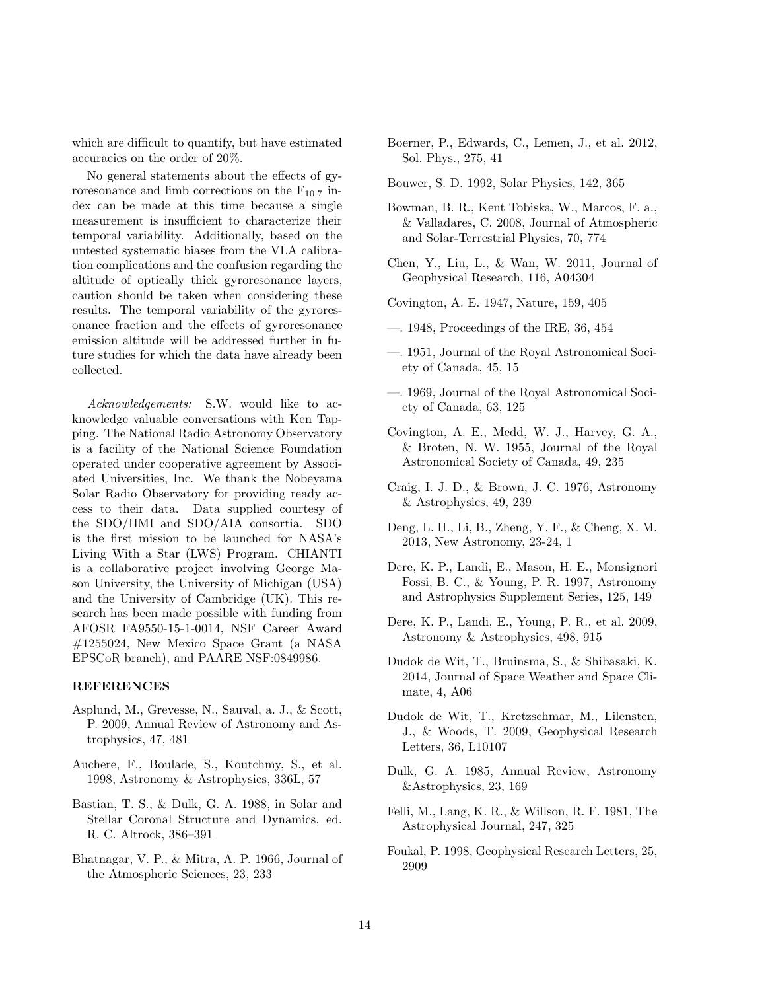which are difficult to quantify, but have estimated accuracies on the order of 20%.

No general statements about the effects of gyroresonance and limb corrections on the  $F_{10.7}$  index can be made at this time because a single measurement is insufficient to characterize their temporal variability. Additionally, based on the untested systematic biases from the VLA calibration complications and the confusion regarding the altitude of optically thick gyroresonance layers, caution should be taken when considering these results. The temporal variability of the gyroresonance fraction and the effects of gyroresonance emission altitude will be addressed further in future studies for which the data have already been collected.

*Acknowledgements:* S.W. would like to acknowledge valuable conversations with Ken Tapping. The National Radio Astronomy Observatory is a facility of the National Science Foundation operated under cooperative agreement by Associated Universities, Inc. We thank the Nobeyama Solar Radio Observatory for providing ready access to their data. Data supplied courtesy of the SDO/HMI and SDO/AIA consortia. SDO is the first mission to be launched for NASA's Living With a Star (LWS) Program. CHIANTI is a collaborative project involving George Mason University, the University of Michigan (USA) and the University of Cambridge (UK). This research has been made possible with funding from AFOSR FA9550-15-1-0014, NSF Career Award #1255024, New Mexico Space Grant (a NASA EPSCoR branch), and PAARE NSF:0849986.

# REFERENCES

- <span id="page-13-14"></span>Asplund, M., Grevesse, N., Sauval, a. J., & Scott, P. 2009, Annual Review of Astronomy and Astrophysics, 47, 481
- <span id="page-13-19"></span>Auchere, F., Boulade, S., Koutchmy, S., et al. 1998, Astronomy & Astrophysics, 336L, 57
- <span id="page-13-13"></span>Bastian, T. S., & Dulk, G. A. 1988, in Solar and Stellar Coronal Structure and Dynamics, ed. R. C. Altrock, 386–391
- <span id="page-13-5"></span>Bhatnagar, V. P., & Mitra, A. P. 1966, Journal of the Atmospheric Sciences, 23, 233
- <span id="page-13-18"></span>Boerner, P., Edwards, C., Lemen, J., et al. 2012, Sol. Phys., 275, 41
- <span id="page-13-7"></span>Bouwer, S. D. 1992, Solar Physics, 142, 365
- <span id="page-13-20"></span>Bowman, B. R., Kent Tobiska, W., Marcos, F. a., & Valladares, C. 2008, Journal of Atmospheric and Solar-Terrestrial Physics, 70, 774
- <span id="page-13-9"></span>Chen, Y., Liu, L., & Wan, W. 2011, Journal of Geophysical Research, 116, A04304
- <span id="page-13-6"></span>Covington, A. E. 1947, Nature, 159, 405
- <span id="page-13-0"></span>—. 1948, Proceedings of the IRE, 36, 454
- <span id="page-13-1"></span>—. 1951, Journal of the Royal Astronomical Society of Canada, 45, 15
- <span id="page-13-4"></span>—. 1969, Journal of the Royal Astronomical Society of Canada, 63, 125
- <span id="page-13-2"></span>Covington, A. E., Medd, W. J., Harvey, G. A., & Broten, N. W. 1955, Journal of the Royal Astronomical Society of Canada, 49, 235
- <span id="page-13-16"></span>Craig, I. J. D., & Brown, J. C. 1976, Astronomy & Astrophysics, 49, 239
- <span id="page-13-10"></span>Deng, L. H., Li, B., Zheng, Y. F., & Cheng, X. M. 2013, New Astronomy, 23-24, 1
- <span id="page-13-21"></span>Dere, K. P., Landi, E., Mason, H. E., Monsignori Fossi, B. C., & Young, P. R. 1997, Astronomy and Astrophysics Supplement Series, 125, 149
- <span id="page-13-17"></span>Dere, K. P., Landi, E., Young, P. R., et al. 2009, Astronomy & Astrophysics, 498, 915
- <span id="page-13-12"></span>Dudok de Wit, T., Bruinsma, S., & Shibasaki, K. 2014, Journal of Space Weather and Space Climate, 4, A06
- <span id="page-13-8"></span>Dudok de Wit, T., Kretzschmar, M., Lilensten, J., & Woods, T. 2009, Geophysical Research Letters, 36, L10107
- <span id="page-13-15"></span>Dulk, G. A. 1985, Annual Review, Astronomy &Astrophysics, 23, 169
- <span id="page-13-11"></span>Felli, M., Lang, K. R., & Willson, R. F. 1981, The Astrophysical Journal, 247, 325
- <span id="page-13-3"></span>Foukal, P. 1998, Geophysical Research Letters, 25, 2909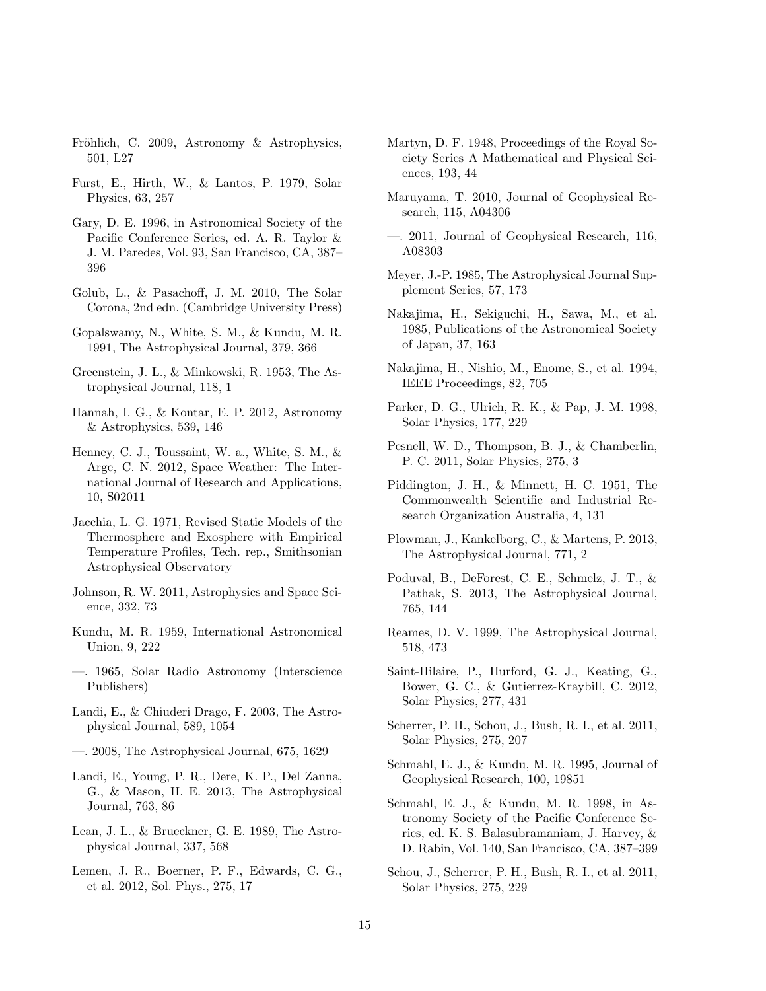- <span id="page-14-12"></span>Fröhlich, C. 2009, Astronomy & Astrophysics, 501, L27
- <span id="page-14-19"></span>Furst, E., Hirth, W., & Lantos, P. 1979, Solar Physics, 63, 257
- <span id="page-14-30"></span>Gary, D. E. 1996, in Astronomical Society of the Pacific Conference Series, ed. A. R. Taylor & J. M. Paredes, Vol. 93, San Francisco, CA, 387– 396
- <span id="page-14-20"></span>Golub, L., & Pasachoff, J. M. 2010, The Solar Corona, 2nd edn. (Cambridge University Press)
- <span id="page-14-15"></span>Gopalswamy, N., White, S. M., & Kundu, M. R. 1991, The Astrophysical Journal, 379, 366
- <span id="page-14-27"></span>Greenstein, J. L., & Minkowski, R. 1953, The Astrophysical Journal, 118, 1
- <span id="page-14-29"></span>Hannah, I. G., & Kontar, E. P. 2012, Astronomy & Astrophysics, 539, 146
- <span id="page-14-11"></span>Henney, C. J., Toussaint, W. a., White, S. M., & Arge, C. N. 2012, Space Weather: The International Journal of Research and Applications, 10, S02011
- <span id="page-14-0"></span>Jacchia, L. G. 1971, Revised Static Models of the Thermosphere and Exosphere with Empirical Temperature Profiles, Tech. rep., Smithsonian Astrophysical Observatory
- <span id="page-14-9"></span>Johnson, R. W. 2011, Astrophysics and Space Science, 332, 73
- <span id="page-14-1"></span>Kundu, M. R. 1959, International Astronomical Union, 9, 222
- <span id="page-14-18"></span>—. 1965, Solar Radio Astronomy (Interscience Publishers)
- <span id="page-14-4"></span>Landi, E., & Chiuderi Drago, F. 2003, The Astrophysical Journal, 589, 1054
- <span id="page-14-5"></span>—. 2008, The Astrophysical Journal, 675, 1629
- <span id="page-14-33"></span>Landi, E., Young, P. R., Dere, K. P., Del Zanna, G., & Mason, H. E. 2013, The Astrophysical Journal, 763, 86
- <span id="page-14-6"></span>Lean, J. L., & Brueckner, G. E. 1989, The Astrophysical Journal, 337, 568
- <span id="page-14-23"></span>Lemen, J. R., Boerner, P. F., Edwards, C. G., et al. 2012, Sol. Phys., 275, 17
- <span id="page-14-2"></span>Martyn, D. F. 1948, Proceedings of the Royal Society Series A Mathematical and Physical Sciences, 193, 44
- <span id="page-14-8"></span>Maruyama, T. 2010, Journal of Geophysical Research, 115, A04306
- <span id="page-14-10"></span>—. 2011, Journal of Geophysical Research, 116, A08303
- <span id="page-14-31"></span>Meyer, J.-P. 1985, The Astrophysical Journal Supplement Series, 57, 173
- <span id="page-14-22"></span>Nakajima, H., Sekiguchi, H., Sawa, M., et al. 1985, Publications of the Astronomical Society of Japan, 37, 163
- <span id="page-14-21"></span>Nakajima, H., Nishio, M., Enome, S., et al. 1994, IEEE Proceedings, 82, 705
- <span id="page-14-7"></span>Parker, D. G., Ulrich, R. K., & Pap, J. M. 1998, Solar Physics, 177, 229
- <span id="page-14-17"></span>Pesnell, W. D., Thompson, B. J., & Chamberlin, P. C. 2011, Solar Physics, 275, 3
- <span id="page-14-3"></span>Piddington, J. H., & Minnett, H. C. 1951, The Commonwealth Scientific and Industrial Research Organization Australia, 4, 131
- <span id="page-14-28"></span>Plowman, J., Kankelborg, C., & Martens, P. 2013, The Astrophysical Journal, 771, 2
- <span id="page-14-24"></span>Poduval, B., DeForest, C. E., Schmelz, J. T., & Pathak, S. 2013, The Astrophysical Journal, 765, 144
- <span id="page-14-32"></span>Reames, D. V. 1999, The Astrophysical Journal, 518, 473
- <span id="page-14-16"></span>Saint-Hilaire, P., Hurford, G. J., Keating, G., Bower, G. C., & Gutierrez-Kraybill, C. 2012, Solar Physics, 277, 431
- <span id="page-14-25"></span>Scherrer, P. H., Schou, J., Bush, R. I., et al. 2011, Solar Physics, 275, 207
- <span id="page-14-13"></span>Schmahl, E. J., & Kundu, M. R. 1995, Journal of Geophysical Research, 100, 19851
- <span id="page-14-14"></span>Schmahl, E. J., & Kundu, M. R. 1998, in Astronomy Society of the Pacific Conference Series, ed. K. S. Balasubramaniam, J. Harvey, & D. Rabin, Vol. 140, San Francisco, CA, 387–399
- <span id="page-14-26"></span>Schou, J., Scherrer, P. H., Bush, R. I., et al. 2011, Solar Physics, 275, 229